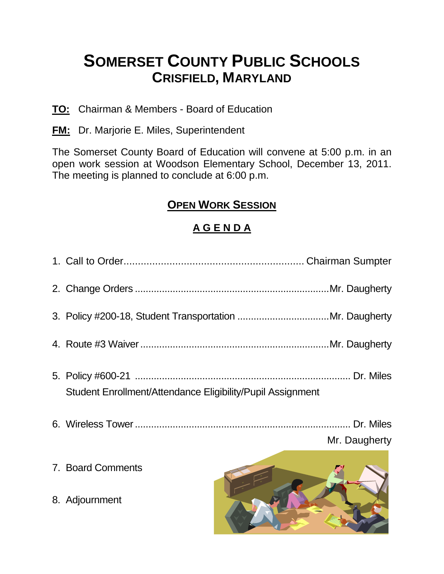# **SOMERSET COUNTY PUBLIC SCHOOLS CRISFIELD, MARYLAND**

- **TO:** Chairman & Members Board of Education
- **FM:** Dr. Marjorie E. Miles, Superintendent

The Somerset County Board of Education will convene at 5:00 p.m. in an open work session at Woodson Elementary School, December 13, 2011. The meeting is planned to conclude at 6:00 p.m.

# **OPEN WORK SESSION**

## **A G E N D A**

| Student Enrollment/Attendance Eligibility/Pupil Assignment |                                            |
|------------------------------------------------------------|--------------------------------------------|
|                                                            | Mr. Daugherty                              |
| 7. Board Comments                                          | $E^{\prime}$ and $\sum_{i=1}^n E^{\prime}$ |

8. Adjournment

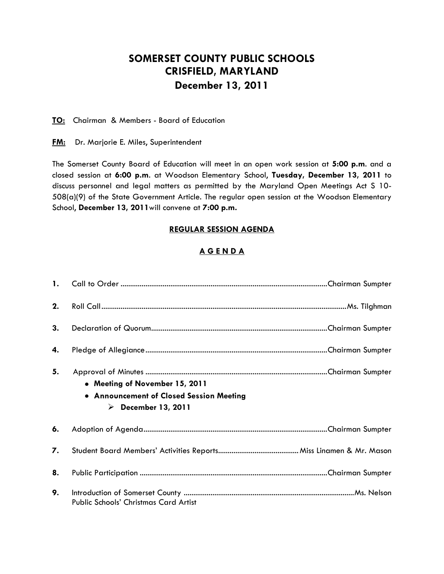### **SOMERSET COUNTY PUBLIC SCHOOLS CRISFIELD, MARYLAND December 13, 2011**

**TO:** Chairman & Members - Board of Education

**FM:** Dr. Marjorie E. Miles, Superintendent

The Somerset County Board of Education will meet in an open work session at **5:00 p.m**. and a closed session at **6:00 p.m**. at Woodson Elementary School, **Tuesday, December 13, 2011** to discuss personnel and legal matters as permitted by the Maryland Open Meetings Act S 10- 508(a)(9) of the State Government Article. The regular open session at the Woodson Elementary School, **December 13, 2011**will convene at **7:00 p.m.**

#### **REGULAR SESSION AGENDA**

#### **A G E N D A**

| 2. |                                                                                                                  |
|----|------------------------------------------------------------------------------------------------------------------|
| 3. |                                                                                                                  |
| 4. |                                                                                                                  |
| 5. | • Meeting of November 15, 2011<br>• Announcement of Closed Session Meeting<br>$\triangleright$ December 13, 2011 |
| 6. |                                                                                                                  |
| 7. |                                                                                                                  |
| 8. |                                                                                                                  |
| 9. | Public Schools' Christmas Card Artist                                                                            |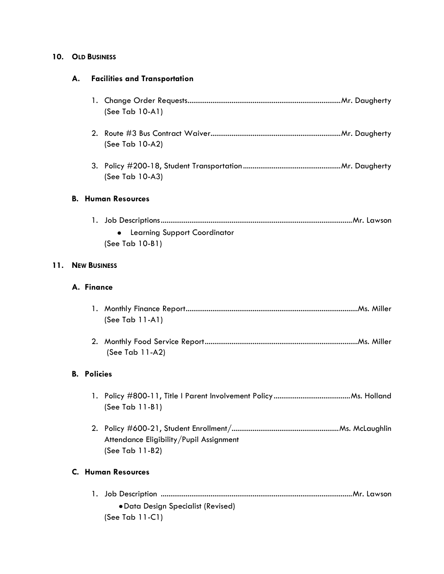#### **10. OLD BUSINESS**

#### **A. Facilities and Transportation**

|     |                     | (See Tab 10-A1)                                            |
|-----|---------------------|------------------------------------------------------------|
|     |                     | (See Tab 10-A2)                                            |
|     |                     | (See Tab 10-A3)                                            |
|     |                     | <b>B. Human Resources</b>                                  |
|     |                     | <b>Learning Support Coordinator</b><br>(See Tab 10-B1)     |
| 11. | <b>NEW BUSINESS</b> |                                                            |
|     | A. Finance          |                                                            |
|     |                     | (See Tab 11-A1)                                            |
|     |                     | (See Tab 11-A2)                                            |
|     | <b>B.</b> Policies  |                                                            |
|     |                     | $(See Tab 11-B1)$                                          |
|     |                     | Attendance Eligibility/Pupil Assignment<br>(See Tab 11-B2) |
|     |                     | <b>C. Human Resources</b>                                  |

| • Data Design Specialist (Revised) |
|------------------------------------|
| (See Tab $11-C1$ )                 |